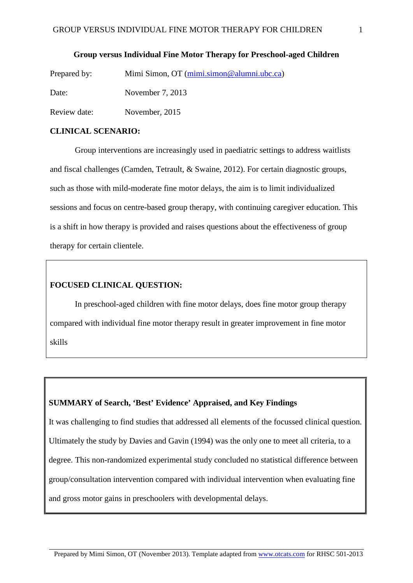**Group versus Individual Fine Motor Therapy for Preschool-aged Children**

| Prepared by: | Mimi Simon, OT (mimi.simon@alumni.ubc.ca) |
|--------------|-------------------------------------------|
| Date:        | November 7, 2013                          |
| Review date: | November, 2015                            |

#### **CLINICAL SCENARIO:**

Group interventions are increasingly used in paediatric settings to address waitlists and fiscal challenges (Camden, Tetrault, & Swaine, 2012). For certain diagnostic groups, such as those with mild-moderate fine motor delays, the aim is to limit individualized sessions and focus on centre-based group therapy, with continuing caregiver education. This is a shift in how therapy is provided and raises questions about the effectiveness of group therapy for certain clientele.

## **FOCUSED CLINICAL QUESTION:**

In preschool-aged children with fine motor delays, does fine motor group therapy compared with individual fine motor therapy result in greater improvement in fine motor skills

## **SUMMARY of Search, 'Best' Evidence' Appraised, and Key Findings**

It was challenging to find studies that addressed all elements of the focussed clinical question. Ultimately the study by Davies and Gavin (1994) was the only one to meet all criteria, to a degree. This non-randomized experimental study concluded no statistical difference between group/consultation intervention compared with individual intervention when evaluating fine and gross motor gains in preschoolers with developmental delays.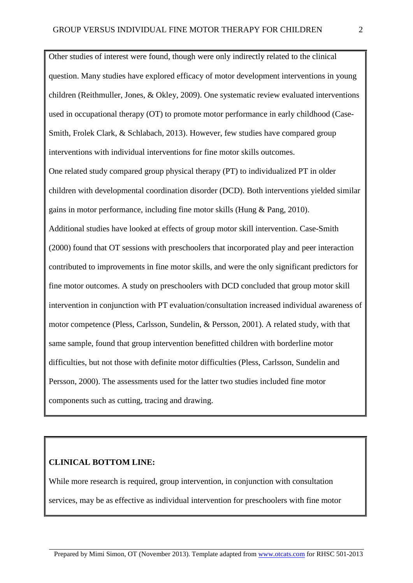Other studies of interest were found, though were only indirectly related to the clinical question. Many studies have explored efficacy of motor development interventions in young children (Reithmuller, Jones, & Okley, 2009). One systematic review evaluated interventions used in occupational therapy (OT) to promote motor performance in early childhood (Case-Smith, Frolek Clark, & Schlabach, 2013). However, few studies have compared group interventions with individual interventions for fine motor skills outcomes. One related study compared group physical therapy (PT) to individualized PT in older children with developmental coordination disorder (DCD). Both interventions yielded similar gains in motor performance, including fine motor skills (Hung & Pang, 2010). Additional studies have looked at effects of group motor skill intervention. Case-Smith (2000) found that OT sessions with preschoolers that incorporated play and peer interaction contributed to improvements in fine motor skills, and were the only significant predictors for fine motor outcomes. A study on preschoolers with DCD concluded that group motor skill intervention in conjunction with PT evaluation/consultation increased individual awareness of motor competence (Pless, Carlsson, Sundelin, & Persson, 2001). A related study, with that same sample, found that group intervention benefitted children with borderline motor difficulties, but not those with definite motor difficulties (Pless, Carlsson, Sundelin and Persson, 2000). The assessments used for the latter two studies included fine motor components such as cutting, tracing and drawing.

# **CLINICAL BOTTOM LINE:**

While more research is required, group intervention, in conjunction with consultation services, may be as effective as individual intervention for preschoolers with fine motor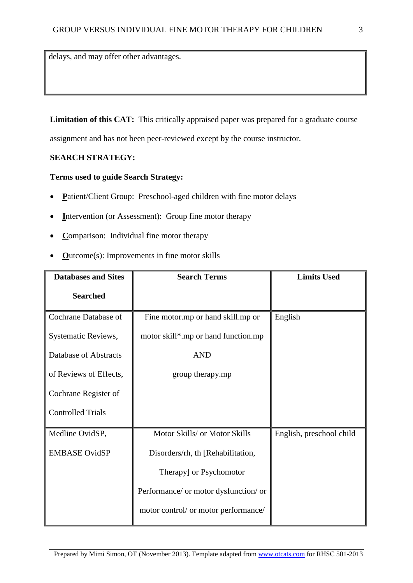delays, and may offer other advantages.

Limitation of this CAT: This critically appraised paper was prepared for a graduate course

assignment and has not been peer-reviewed except by the course instructor.

## **SEARCH STRATEGY:**

## **Terms used to guide Search Strategy:**

- **P**atient/Client Group: Preschool-aged children with fine motor delays
- **Intervention (or Assessment): Group fine motor therapy**
- **C**omparison: Individual fine motor therapy
- **O**utcome(s): Improvements in fine motor skills

| <b>Databases and Sites</b> | <b>Search Terms</b>                   | <b>Limits Used</b>       |  |
|----------------------------|---------------------------------------|--------------------------|--|
| <b>Searched</b>            |                                       |                          |  |
| Cochrane Database of       | Fine motor.mp or hand skill.mp or     | English                  |  |
| Systematic Reviews,        | motor skill*.mp or hand function.mp   |                          |  |
| Database of Abstracts      | <b>AND</b>                            |                          |  |
| of Reviews of Effects,     | group therapy.mp                      |                          |  |
| Cochrane Register of       |                                       |                          |  |
| <b>Controlled Trials</b>   |                                       |                          |  |
| Medline OvidSP,            | Motor Skills/ or Motor Skills         | English, preschool child |  |
| <b>EMBASE OvidSP</b>       | Disorders/rh, th [Rehabilitation,     |                          |  |
|                            | Therapy] or Psychomotor               |                          |  |
|                            | Performance/ or motor dysfunction/ or |                          |  |
|                            | motor control/ or motor performance/  |                          |  |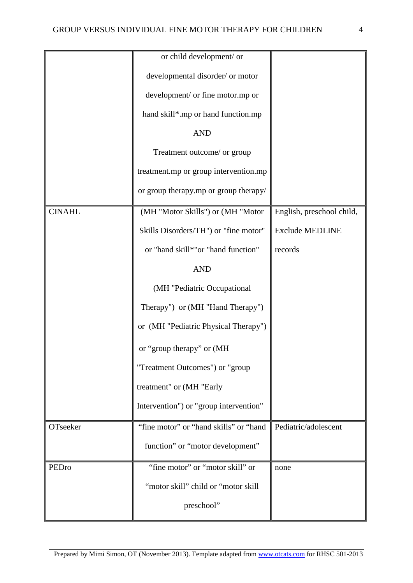|               | or child development/ or               |                           |
|---------------|----------------------------------------|---------------------------|
|               |                                        |                           |
|               | developmental disorder/ or motor       |                           |
|               | development/ or fine motor.mp or       |                           |
|               | hand skill*.mp or hand function.mp     |                           |
|               | <b>AND</b>                             |                           |
|               | Treatment outcome/ or group            |                           |
|               | treatment.mp or group intervention.mp  |                           |
|               | or group therapy.mp or group therapy/  |                           |
| <b>CINAHL</b> | (MH "Motor Skills") or (MH "Motor      | English, preschool child, |
|               | Skills Disorders/TH") or "fine motor"  | <b>Exclude MEDLINE</b>    |
|               | or "hand skill*"or "hand function"     | records                   |
|               | <b>AND</b>                             |                           |
|               | (MH "Pediatric Occupational            |                           |
|               | Therapy") or (MH "Hand Therapy")       |                           |
|               | or (MH "Pediatric Physical Therapy")   |                           |
|               | or "group therapy" or (MH              |                           |
|               | "Treatment Outcomes") or "group        |                           |
|               | treatment" or (MH "Early               |                           |
|               | Intervention") or "group intervention" |                           |
| OTseeker      | "fine motor" or "hand skills" or "hand | Pediatric/adolescent      |
|               | function" or "motor development"       |                           |
| PEDro         | "fine motor" or "motor skill" or       | none                      |
|               | "motor skill" child or "motor skill    |                           |
|               | preschool"                             |                           |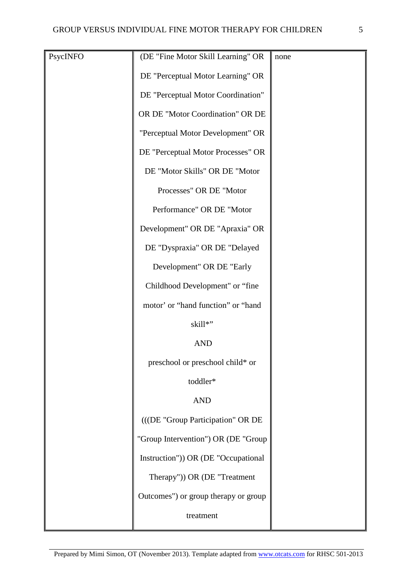| PsycINFO | (DE "Fine Motor Skill Learning" OR   | none |
|----------|--------------------------------------|------|
|          |                                      |      |
|          | DE "Perceptual Motor Learning" OR    |      |
|          | DE "Perceptual Motor Coordination"   |      |
|          | OR DE "Motor Coordination" OR DE     |      |
|          | "Perceptual Motor Development" OR    |      |
|          | DE "Perceptual Motor Processes" OR   |      |
|          | DE "Motor Skills" OR DE "Motor       |      |
|          | Processes" OR DE "Motor              |      |
|          | Performance" OR DE "Motor            |      |
|          | Development" OR DE "Apraxia" OR      |      |
|          | DE "Dyspraxia" OR DE "Delayed        |      |
|          | Development" OR DE "Early            |      |
|          | Childhood Development" or "fine      |      |
|          | motor' or "hand function" or "hand   |      |
|          | skill*"                              |      |
|          | <b>AND</b>                           |      |
|          | preschool or preschool child* or     |      |
|          | toddler*                             |      |
|          | <b>AND</b>                           |      |
|          | (((DE "Group Participation" OR DE    |      |
|          | "Group Intervention") OR (DE "Group  |      |
|          | Instruction")) OR (DE "Occupational  |      |
|          | Therapy")) OR (DE "Treatment         |      |
|          | Outcomes") or group therapy or group |      |
|          | treatment                            |      |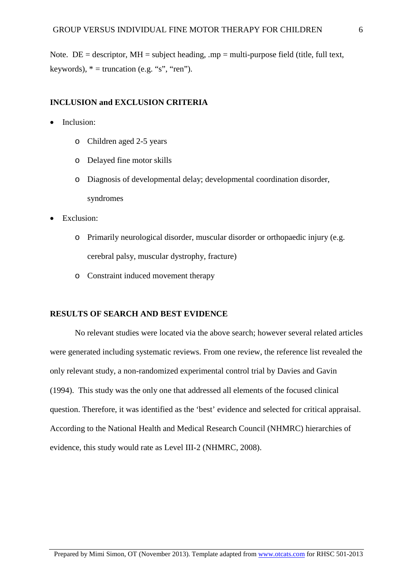Note. DE = descriptor,  $MH = subject heading, mp = multi-purpose field (title, full text,$ keywords),  $* =$  truncation (e.g. "s", "ren").

## **INCLUSION and EXCLUSION CRITERIA**

- Inclusion:
	- o Children aged 2-5 years
	- o Delayed fine motor skills
	- o Diagnosis of developmental delay; developmental coordination disorder, syndromes
- Exclusion:
	- o Primarily neurological disorder, muscular disorder or orthopaedic injury (e.g. cerebral palsy, muscular dystrophy, fracture)
	- o Constraint induced movement therapy

## **RESULTS OF SEARCH AND BEST EVIDENCE**

No relevant studies were located via the above search; however several related articles were generated including systematic reviews. From one review, the reference list revealed the only relevant study, a non-randomized experimental control trial by Davies and Gavin (1994). This study was the only one that addressed all elements of the focused clinical question. Therefore, it was identified as the 'best' evidence and selected for critical appraisal. According to the National Health and Medical Research Council (NHMRC) hierarchies of evidence, this study would rate as Level III-2 (NHMRC, 2008).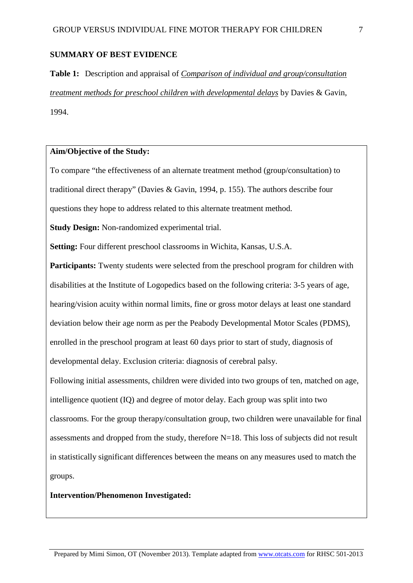#### **SUMMARY OF BEST EVIDENCE**

**Table 1:** Description and appraisal of *Comparison of individual and group/consultation treatment methods for preschool children with developmental delays* by Davies & Gavin, 1994.

### **Aim/Objective of the Study:**

To compare "the effectiveness of an alternate treatment method (group/consultation) to traditional direct therapy" (Davies & Gavin, 1994, p. 155). The authors describe four questions they hope to address related to this alternate treatment method.

**Study Design:** Non-randomized experimental trial.

**Setting:** Four different preschool classrooms in Wichita, Kansas, U.S.A.

**Participants:** Twenty students were selected from the preschool program for children with disabilities at the Institute of Logopedics based on the following criteria: 3-5 years of age, hearing/vision acuity within normal limits, fine or gross motor delays at least one standard deviation below their age norm as per the Peabody Developmental Motor Scales (PDMS), enrolled in the preschool program at least 60 days prior to start of study, diagnosis of developmental delay. Exclusion criteria: diagnosis of cerebral palsy.

Following initial assessments, children were divided into two groups of ten, matched on age, intelligence quotient (IQ) and degree of motor delay. Each group was split into two classrooms. For the group therapy/consultation group, two children were unavailable for final assessments and dropped from the study, therefore N=18. This loss of subjects did not result in statistically significant differences between the means on any measures used to match the groups.

#### **Intervention/Phenomenon Investigated:**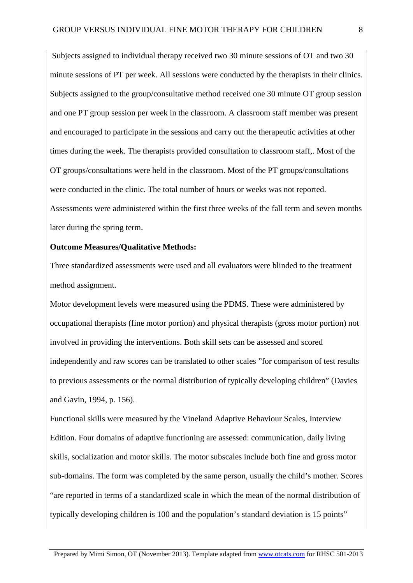Subjects assigned to individual therapy received two 30 minute sessions of OT and two 30 minute sessions of PT per week. All sessions were conducted by the therapists in their clinics. Subjects assigned to the group/consultative method received one 30 minute OT group session and one PT group session per week in the classroom. A classroom staff member was present and encouraged to participate in the sessions and carry out the therapeutic activities at other times during the week. The therapists provided consultation to classroom staff,. Most of the OT groups/consultations were held in the classroom. Most of the PT groups/consultations were conducted in the clinic. The total number of hours or weeks was not reported. Assessments were administered within the first three weeks of the fall term and seven months later during the spring term.

# **Outcome Measures/Qualitative Methods:**

Three standardized assessments were used and all evaluators were blinded to the treatment method assignment.

Motor development levels were measured using the PDMS. These were administered by occupational therapists (fine motor portion) and physical therapists (gross motor portion) not involved in providing the interventions. Both skill sets can be assessed and scored independently and raw scores can be translated to other scales "for comparison of test results to previous assessments or the normal distribution of typically developing children" (Davies and Gavin, 1994, p. 156).

Functional skills were measured by the Vineland Adaptive Behaviour Scales, Interview Edition. Four domains of adaptive functioning are assessed: communication, daily living skills, socialization and motor skills. The motor subscales include both fine and gross motor sub-domains. The form was completed by the same person, usually the child's mother. Scores "are reported in terms of a standardized scale in which the mean of the normal distribution of typically developing children is 100 and the population's standard deviation is 15 points"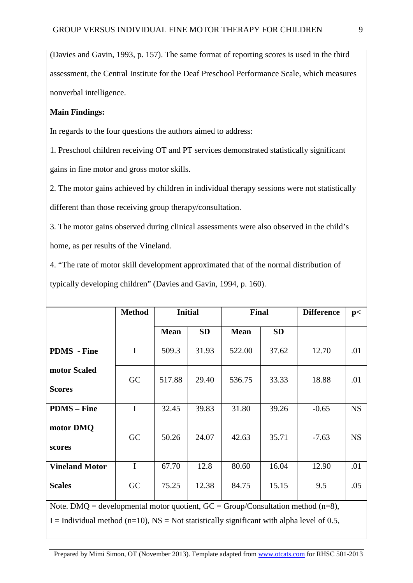(Davies and Gavin, 1993, p. 157). The same format of reporting scores is used in the third assessment, the Central Institute for the Deaf Preschool Performance Scale, which measures nonverbal intelligence.

## **Main Findings:**

In regards to the four questions the authors aimed to address:

1. Preschool children receiving OT and PT services demonstrated statistically significant gains in fine motor and gross motor skills.

2. The motor gains achieved by children in individual therapy sessions were not statistically different than those receiving group therapy/consultation.

3. The motor gains observed during clinical assessments were also observed in the child's home, as per results of the Vineland.

4. "The rate of motor skill development approximated that of the normal distribution of typically developing children" (Davies and Gavin, 1994, p. 160).

|                                                                                               | <b>Method</b> | <b>Initial</b> |           | Final       |           | <b>Difference</b> | p<        |
|-----------------------------------------------------------------------------------------------|---------------|----------------|-----------|-------------|-----------|-------------------|-----------|
|                                                                                               |               | <b>Mean</b>    | <b>SD</b> | <b>Mean</b> | <b>SD</b> |                   |           |
| <b>PDMS</b> - Fine                                                                            | $\mathbf I$   | 509.3          | 31.93     | 522.00      | 37.62     | 12.70             | .01       |
| motor Scaled<br><b>Scores</b>                                                                 | GC            | 517.88         | 29.40     | 536.75      | 33.33     | 18.88             | .01       |
| <b>PDMS</b> – Fine                                                                            | $\mathbf I$   | 32.45          | 39.83     | 31.80       | 39.26     | $-0.65$           | <b>NS</b> |
| motor DMQ<br>scores                                                                           | GC            | 50.26          | 24.07     | 42.63       | 35.71     | $-7.63$           | <b>NS</b> |
| <b>Vineland Motor</b>                                                                         | $\mathbf I$   | 67.70          | 12.8      | 80.60       | 16.04     | 12.90             | .01       |
| <b>Scales</b>                                                                                 | GC            | 75.25          | 12.38     | 84.75       | 15.15     | 9.5               | .05       |
| Note. DMQ = developmental motor quotient, $GC = Group/Consulation method (n=8)$ ,             |               |                |           |             |           |                   |           |
| I = Individual method ( $n=10$ ), NS = Not statistically significant with alpha level of 0.5, |               |                |           |             |           |                   |           |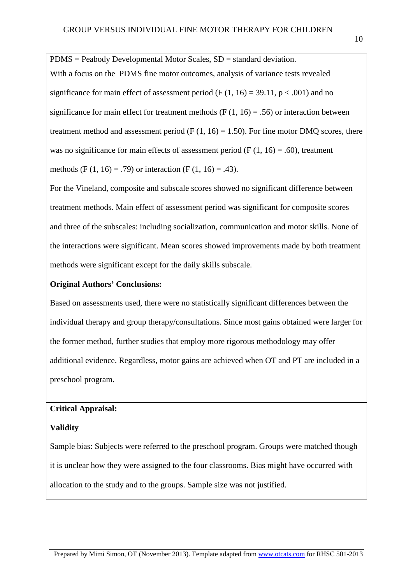PDMS = Peabody Developmental Motor Scales, SD = standard deviation. With a focus on the PDMS fine motor outcomes, analysis of variance tests revealed significance for main effect of assessment period (F  $(1, 16) = 39.11$ , p < .001) and no significance for main effect for treatment methods (F  $(1, 16) = .56$ ) or interaction between treatment method and assessment period (F  $(1, 16) = 1.50$ ). For fine motor DMQ scores, there was no significance for main effects of assessment period (F  $(1, 16) = .60$ ), treatment methods (F (1, 16) = .79) or interaction (F (1, 16) = .43).

For the Vineland, composite and subscale scores showed no significant difference between treatment methods. Main effect of assessment period was significant for composite scores and three of the subscales: including socialization, communication and motor skills. None of the interactions were significant. Mean scores showed improvements made by both treatment methods were significant except for the daily skills subscale.

## **Original Authors' Conclusions:**

Based on assessments used, there were no statistically significant differences between the individual therapy and group therapy/consultations. Since most gains obtained were larger for the former method, further studies that employ more rigorous methodology may offer additional evidence. Regardless, motor gains are achieved when OT and PT are included in a preschool program.

## **Critical Appraisal:**

## **Validity**

Sample bias: Subjects were referred to the preschool program. Groups were matched though it is unclear how they were assigned to the four classrooms. Bias might have occurred with allocation to the study and to the groups. Sample size was not justified.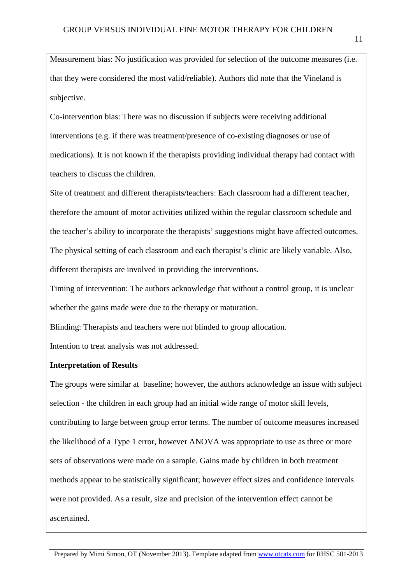Measurement bias: No justification was provided for selection of the outcome measures (i.e. that they were considered the most valid/reliable). Authors did note that the Vineland is subjective.

Co-intervention bias: There was no discussion if subjects were receiving additional interventions (e.g. if there was treatment/presence of co-existing diagnoses or use of medications). It is not known if the therapists providing individual therapy had contact with teachers to discuss the children.

Site of treatment and different therapists/teachers: Each classroom had a different teacher, therefore the amount of motor activities utilized within the regular classroom schedule and the teacher's ability to incorporate the therapists' suggestions might have affected outcomes. The physical setting of each classroom and each therapist's clinic are likely variable. Also, different therapists are involved in providing the interventions.

Timing of intervention: The authors acknowledge that without a control group, it is unclear whether the gains made were due to the therapy or maturation.

Blinding: Therapists and teachers were not blinded to group allocation.

Intention to treat analysis was not addressed.

# **Interpretation of Results**

The groups were similar at baseline; however, the authors acknowledge an issue with subject selection - the children in each group had an initial wide range of motor skill levels, contributing to large between group error terms. The number of outcome measures increased the likelihood of a Type 1 error, however ANOVA was appropriate to use as three or more sets of observations were made on a sample. Gains made by children in both treatment methods appear to be statistically significant; however effect sizes and confidence intervals were not provided. As a result, size and precision of the intervention effect cannot be ascertained.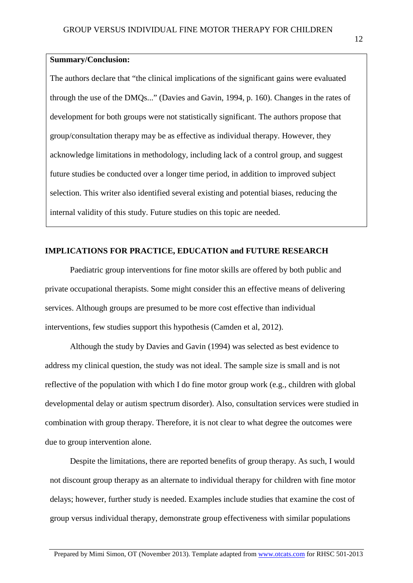# **Summary/Conclusion:**

The authors declare that "the clinical implications of the significant gains were evaluated through the use of the DMQs..." (Davies and Gavin, 1994, p. 160). Changes in the rates of development for both groups were not statistically significant. The authors propose that group/consultation therapy may be as effective as individual therapy. However, they acknowledge limitations in methodology, including lack of a control group, and suggest future studies be conducted over a longer time period, in addition to improved subject selection. This writer also identified several existing and potential biases, reducing the internal validity of this study. Future studies on this topic are needed.

## **IMPLICATIONS FOR PRACTICE, EDUCATION and FUTURE RESEARCH**

Paediatric group interventions for fine motor skills are offered by both public and private occupational therapists. Some might consider this an effective means of delivering services. Although groups are presumed to be more cost effective than individual interventions, few studies support this hypothesis (Camden et al, 2012).

Although the study by Davies and Gavin (1994) was selected as best evidence to address my clinical question, the study was not ideal. The sample size is small and is not reflective of the population with which I do fine motor group work (e.g., children with global developmental delay or autism spectrum disorder). Also, consultation services were studied in combination with group therapy. Therefore, it is not clear to what degree the outcomes were due to group intervention alone.

Despite the limitations, there are reported benefits of group therapy. As such, I would not discount group therapy as an alternate to individual therapy for children with fine motor delays; however, further study is needed. Examples include studies that examine the cost of group versus individual therapy, demonstrate group effectiveness with similar populations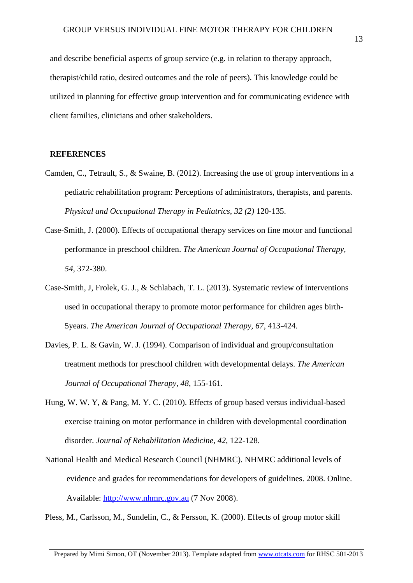and describe beneficial aspects of group service (e.g. in relation to therapy approach, therapist/child ratio, desired outcomes and the role of peers). This knowledge could be utilized in planning for effective group intervention and for communicating evidence with client families, clinicians and other stakeholders.

#### **REFERENCES**

- Camden, C., Tetrault, S., & Swaine, B. (2012). Increasing the use of group interventions in a pediatric rehabilitation program: Perceptions of administrators, therapists, and parents. *Physical and Occupational Therapy in Pediatrics, 32 (2)* 120-135.
- Case-Smith, J. (2000). Effects of occupational therapy services on fine motor and functional performance in preschool children. *The American Journal of Occupational Therapy, 54,* 372-380.
- Case-Smith, J, Frolek, G. J., & Schlabach, T. L. (2013). Systematic review of interventions used in occupational therapy to promote motor performance for children ages birth-5years. *The American Journal of Occupational Therapy, 67,* 413-424.
- Davies, P. L. & Gavin, W. J. (1994). Comparison of individual and group/consultation treatment methods for preschool children with developmental delays. *The American Journal of Occupational Therapy, 48*, 155-161.
- Hung, W. W. Y, & Pang, M. Y. C. (2010). Effects of group based versus individual-based exercise training on motor performance in children with developmental coordination disorder. *Journal of Rehabilitation Medicine, 42,* 122-128.
- National Health and Medical Research Council (NHMRC). NHMRC additional levels of evidence and grades for recommendations for developers of guidelines. 2008. Online. Available: [http://www.nhmrc.gov.au](http://www.nhmrc.gov.au/) (7 Nov 2008).
- Pless, M., Carlsson, M., Sundelin, C., & Persson, K. (2000). Effects of group motor skill